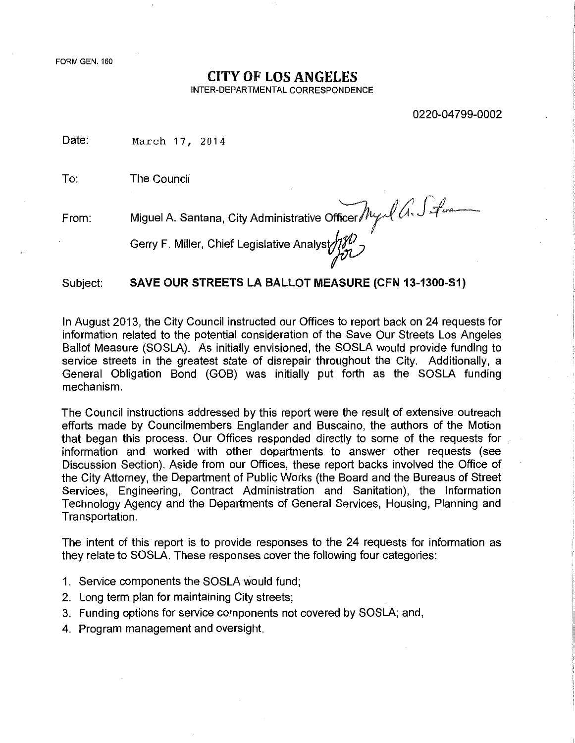FORM GEN. 160

#### CITY OF LOS ANGELES

INTER-DEPARTMENTAL CORRESPONDENCE

0220-04799-0002

Date: March 17, 2014

To: The Council

From: Miguel A. Santana, City Administrative Officer *My A. S. fune* 

Gerry F. Miller, Chief Legislative Analyst

Subject: SAVE OUR STREETS LA BALLOT MEASURE (CFN 13-1300-S1)

In August 2013, the City Council instructed our Offices to report back on 24 requests for information related to the potential consideration of the Save Our Streets Los Angeles Ballot Measure (SOSLA). As initially envisioned, the SOSLA would provide funding to service streets in the greatest state of disrepair throughout the City. Additionally, a General Obligation Bond (GOB) was initially put forth as the SOSLA funding mechanism.

The Council instructions addressed by this report were the result of extensive outreach efforts made by Councilmembers Englander and Buscaino, the authors of the Motion that began this process. Our Offices responded directly to some of the requests for . information and worked with other departments to answer other requests (see Discussion Section). Aside from our Offices, these report backs involved the Office of the City Attorney, the Department of Public Works (the Board and the Bureaus of Street Services, Engineering, Contract Administration and Sanitation), the Information Technology Agency and the Departments of General Services, Housing, Planning and Transportation.

The intent of this report is to provide responses to the 24 requests for information as they relate to SOSLA. These responses cover the following four categories:

- 1. Service components the SOSLA would fund;
- 2. Long term plan for maintaining City streets;
- 3. Funding options for service components not covered by SOSLA; and,
- 4. Program management and oversight.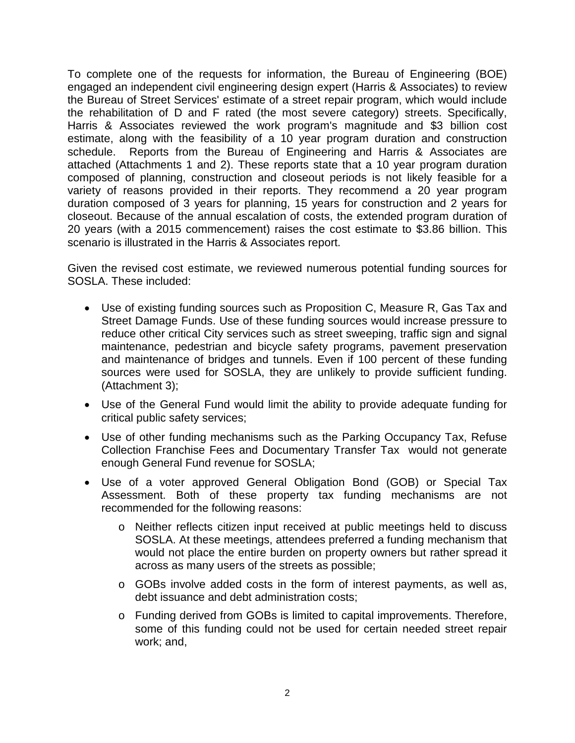To complete one of the requests for information, the Bureau of Engineering (BOE) engaged an independent civil engineering design expert (Harris & Associates) to review the Bureau of Street Services' estimate of a street repair program, which would include the rehabilitation of D and F rated (the most severe category) streets. Specifically, Harris & Associates reviewed the work program's magnitude and \$3 billion cost estimate, along with the feasibility of a 10 year program duration and construction schedule. Reports from the Bureau of Engineering and Harris & Associates are attached (Attachments 1 and 2). These reports state that a 10 year program duration composed of planning, construction and closeout periods is not likely feasible for a variety of reasons provided in their reports. They recommend a 20 year program duration composed of 3 years for planning, 15 years for construction and 2 years for closeout. Because of the annual escalation of costs, the extended program duration of 20 years (with a 2015 commencement) raises the cost estimate to \$3.86 billion. This scenario is illustrated in the Harris & Associates report.

Given the revised cost estimate, we reviewed numerous potential funding sources for SOSLA. These included:

- Use of existing funding sources such as Proposition C, Measure R, Gas Tax and Street Damage Funds. Use of these funding sources would increase pressure to reduce other critical City services such as street sweeping, traffic sign and signal maintenance, pedestrian and bicycle safety programs, pavement preservation and maintenance of bridges and tunnels. Even if 100 percent of these funding sources were used for SOSLA, they are unlikely to provide sufficient funding. (Attachment 3);
- Use of the General Fund would limit the ability to provide adequate funding for critical public safety services;
- Use of other funding mechanisms such as the Parking Occupancy Tax, Refuse Collection Franchise Fees and Documentary Transfer Tax would not generate enough General Fund revenue for SOSLA;
- Use of a voter approved General Obligation Bond (GOB) or Special Tax Assessment. Both of these property tax funding mechanisms are not recommended for the following reasons:
	- o Neither reflects citizen input received at public meetings held to discuss SOSLA. At these meetings, attendees preferred a funding mechanism that would not place the entire burden on property owners but rather spread it across as many users of the streets as possible;
	- $\circ$  GOBs involve added costs in the form of interest payments, as well as, debt issuance and debt administration costs;
	- o Funding derived from GOBs is limited to capital improvements. Therefore, some of this funding could not be used for certain needed street repair work; and,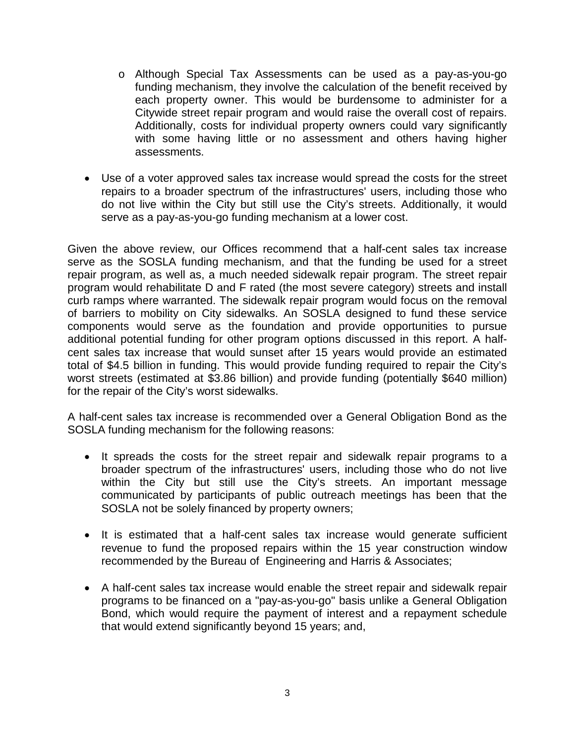- o Although Special Tax Assessments can be used as a pay-as-you-go funding mechanism, they involve the calculation of the benefit received by each property owner. This would be burdensome to administer for a Citywide street repair program and would raise the overall cost of repairs. Additionally, costs for individual property owners could vary significantly with some having little or no assessment and others having higher assessments.
- Use of a voter approved sales tax increase would spread the costs for the street repairs to a broader spectrum of the infrastructures' users, including those who do not live within the City but still use the City's streets. Additionally, it would serve as a pay-as-you-go funding mechanism at a lower cost.

Given the above review, our Offices recommend that a half-cent sales tax increase serve as the SOSLA funding mechanism, and that the funding be used for a street repair program, as well as, a much needed sidewalk repair program. The street repair program would rehabilitate D and F rated (the most severe category) streets and install curb ramps where warranted. The sidewalk repair program would focus on the removal of barriers to mobility on City sidewalks. An SOSLA designed to fund these service components would serve as the foundation and provide opportunities to pursue additional potential funding for other program options discussed in this report. A halfcent sales tax increase that would sunset after 15 years would provide an estimated total of \$4.5 billion in funding. This would provide funding required to repair the City's worst streets (estimated at \$3.86 billion) and provide funding (potentially \$640 million) for the repair of the City's worst sidewalks.

A half-cent sales tax increase is recommended over a General Obligation Bond as the SOSLA funding mechanism for the following reasons:

- It spreads the costs for the street repair and sidewalk repair programs to a broader spectrum of the infrastructures' users, including those who do not live within the City but still use the City's streets. An important message communicated by participants of public outreach meetings has been that the SOSLA not be solely financed by property owners;
- It is estimated that a half-cent sales tax increase would generate sufficient revenue to fund the proposed repairs within the 15 year construction window recommended by the Bureau of Engineering and Harris & Associates;
- A half-cent sales tax increase would enable the street repair and sidewalk repair programs to be financed on a "pay-as-you-go" basis unlike a General Obligation Bond, which would require the payment of interest and a repayment schedule that would extend significantly beyond 15 years; and,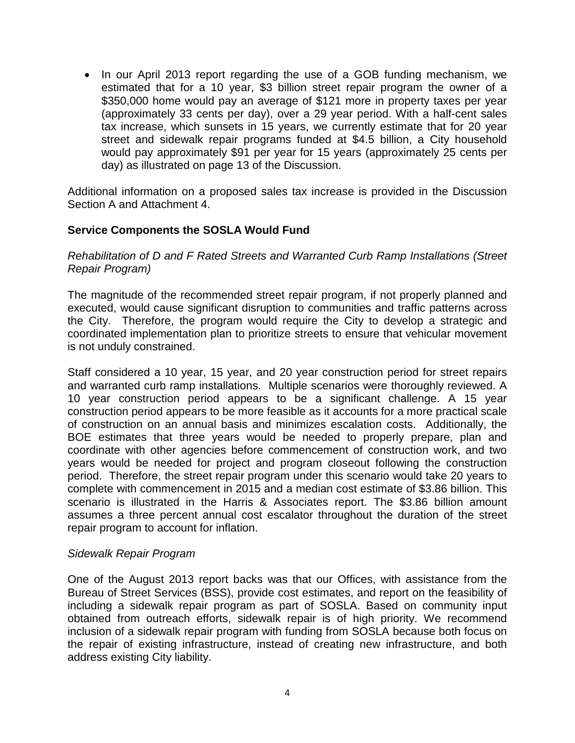• In our April 2013 report regarding the use of a GOB funding mechanism, we estimated that for a 10 year, \$3 billion street repair program the owner of a \$350,000 home would pay an average of \$121 more in property taxes per year (approximately 33 cents per day), over a 29 year period. With a half-cent sales tax increase, which sunsets in 15 years, we currently estimate that for 20 year street and sidewalk repair programs funded at \$4.5 billion, a City household would pay approximately \$91 per year for 15 years (approximately 25 cents per day) as illustrated on page 13 of the Discussion.

Additional information on a proposed sales tax increase is provided in the Discussion Section A and Attachment 4.

## **Service Components the SOSLA Would Fund**

*Rehabilitation of D and F Rated Streets and Warranted Curb Ramp Installations (Street Repair Program)*

The magnitude of the recommended street repair program, if not properly planned and executed, would cause significant disruption to communities and traffic patterns across the City. Therefore, the program would require the City to develop a strategic and coordinated implementation plan to prioritize streets to ensure that vehicular movement is not unduly constrained.

Staff considered a 10 year, 15 year, and 20 year construction period for street repairs and warranted curb ramp installations. Multiple scenarios were thoroughly reviewed. A 10 year construction period appears to be a significant challenge. A 15 year construction period appears to be more feasible as it accounts for a more practical scale of construction on an annual basis and minimizes escalation costs. Additionally, the BOE estimates that three years would be needed to properly prepare, plan and coordinate with other agencies before commencement of construction work, and two years would be needed for project and program closeout following the construction period. Therefore, the street repair program under this scenario would take 20 years to complete with commencement in 2015 and a median cost estimate of \$3.86 billion. This scenario is illustrated in the Harris & Associates report. The \$3.86 billion amount assumes a three percent annual cost escalator throughout the duration of the street repair program to account for inflation.

## *Sidewalk Repair Program*

One of the August 2013 report backs was that our Offices, with assistance from the Bureau of Street Services (BSS), provide cost estimates, and report on the feasibility of including a sidewalk repair program as part of SOSLA. Based on community input obtained from outreach efforts, sidewalk repair is of high priority. We recommend inclusion of a sidewalk repair program with funding from SOSLA because both focus on the repair of existing infrastructure, instead of creating new infrastructure, and both address existing City liability.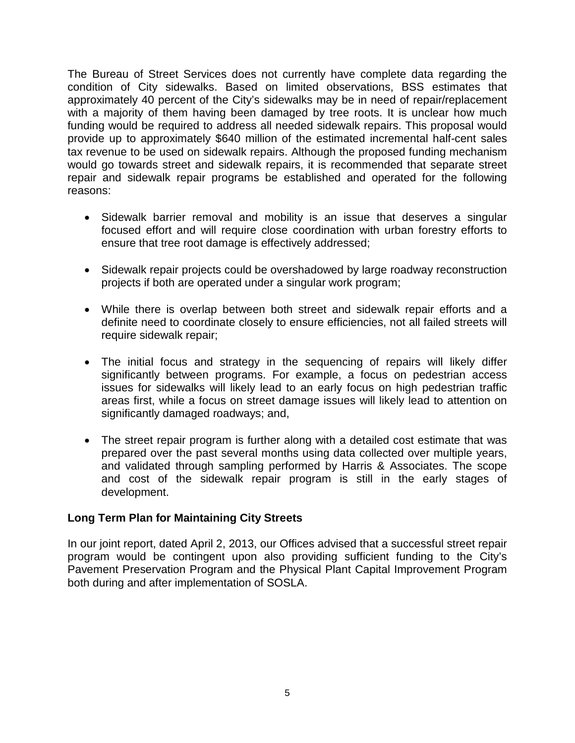The Bureau of Street Services does not currently have complete data regarding the condition of City sidewalks. Based on limited observations, BSS estimates that approximately 40 percent of the City's sidewalks may be in need of repair/replacement with a majority of them having been damaged by tree roots. It is unclear how much funding would be required to address all needed sidewalk repairs. This proposal would provide up to approximately \$640 million of the estimated incremental half-cent sales tax revenue to be used on sidewalk repairs. Although the proposed funding mechanism would go towards street and sidewalk repairs, it is recommended that separate street repair and sidewalk repair programs be established and operated for the following reasons:

- Sidewalk barrier removal and mobility is an issue that deserves a singular focused effort and will require close coordination with urban forestry efforts to ensure that tree root damage is effectively addressed;
- Sidewalk repair projects could be overshadowed by large roadway reconstruction projects if both are operated under a singular work program;
- While there is overlap between both street and sidewalk repair efforts and a definite need to coordinate closely to ensure efficiencies, not all failed streets will require sidewalk repair;
- The initial focus and strategy in the sequencing of repairs will likely differ significantly between programs. For example, a focus on pedestrian access issues for sidewalks will likely lead to an early focus on high pedestrian traffic areas first, while a focus on street damage issues will likely lead to attention on significantly damaged roadways; and,
- The street repair program is further along with a detailed cost estimate that was prepared over the past several months using data collected over multiple years, and validated through sampling performed by Harris & Associates. The scope and cost of the sidewalk repair program is still in the early stages of development.

## **Long Term Plan for Maintaining City Streets**

In our joint report, dated April 2, 2013, our Offices advised that a successful street repair program would be contingent upon also providing sufficient funding to the City's Pavement Preservation Program and the Physical Plant Capital Improvement Program both during and after implementation of SOSLA.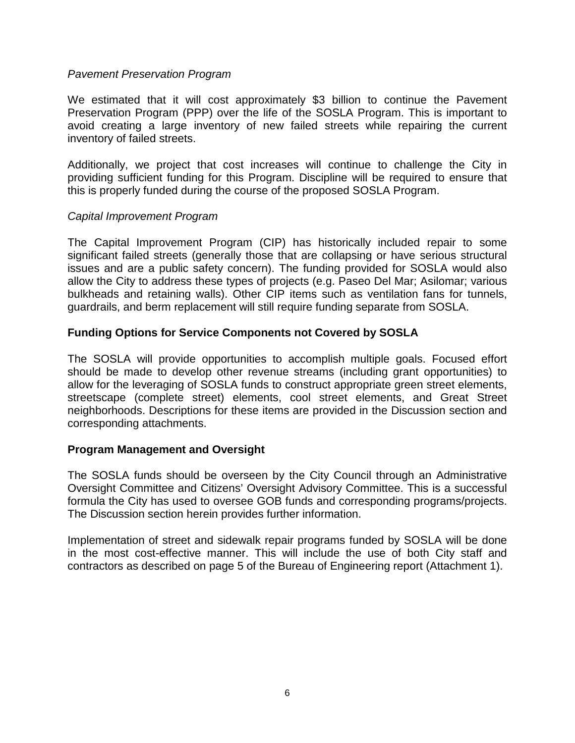#### *Pavement Preservation Program*

We estimated that it will cost approximately \$3 billion to continue the Pavement Preservation Program (PPP) over the life of the SOSLA Program. This is important to avoid creating a large inventory of new failed streets while repairing the current inventory of failed streets.

Additionally, we project that cost increases will continue to challenge the City in providing sufficient funding for this Program. Discipline will be required to ensure that this is properly funded during the course of the proposed SOSLA Program.

#### *Capital Improvement Program*

The Capital Improvement Program (CIP) has historically included repair to some significant failed streets (generally those that are collapsing or have serious structural issues and are a public safety concern). The funding provided for SOSLA would also allow the City to address these types of projects (e.g. Paseo Del Mar; Asilomar; various bulkheads and retaining walls). Other CIP items such as ventilation fans for tunnels, guardrails, and berm replacement will still require funding separate from SOSLA.

## **Funding Options for Service Components not Covered by SOSLA**

The SOSLA will provide opportunities to accomplish multiple goals. Focused effort should be made to develop other revenue streams (including grant opportunities) to allow for the leveraging of SOSLA funds to construct appropriate green street elements, streetscape (complete street) elements, cool street elements, and Great Street neighborhoods. Descriptions for these items are provided in the Discussion section and corresponding attachments.

## **Program Management and Oversight**

The SOSLA funds should be overseen by the City Council through an Administrative Oversight Committee and Citizens' Oversight Advisory Committee. This is a successful formula the City has used to oversee GOB funds and corresponding programs/projects. The Discussion section herein provides further information.

Implementation of street and sidewalk repair programs funded by SOSLA will be done in the most cost-effective manner. This will include the use of both City staff and contractors as described on page 5 of the Bureau of Engineering report (Attachment 1).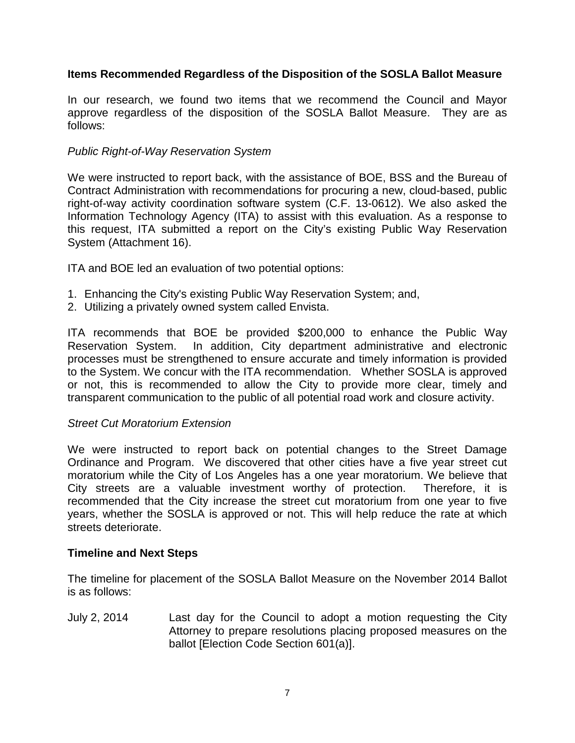# **Items Recommended Regardless of the Disposition of the SOSLA Ballot Measure**

In our research, we found two items that we recommend the Council and Mayor approve regardless of the disposition of the SOSLA Ballot Measure. They are as follows:

# *Public Right-of-Way Reservation System*

We were instructed to report back, with the assistance of BOE, BSS and the Bureau of Contract Administration with recommendations for procuring a new, cloud-based, public right-of-way activity coordination software system (C.F. 13-0612). We also asked the Information Technology Agency (ITA) to assist with this evaluation. As a response to this request, ITA submitted a report on the City's existing Public Way Reservation System (Attachment 16).

ITA and BOE led an evaluation of two potential options:

- 1. Enhancing the City's existing Public Way Reservation System; and,
- 2. Utilizing a privately owned system called Envista.

ITA recommends that BOE be provided \$200,000 to enhance the Public Way Reservation System. In addition, City department administrative and electronic processes must be strengthened to ensure accurate and timely information is provided to the System. We concur with the ITA recommendation. Whether SOSLA is approved or not, this is recommended to allow the City to provide more clear, timely and transparent communication to the public of all potential road work and closure activity.

## *Street Cut Moratorium Extension*

We were instructed to report back on potential changes to the Street Damage Ordinance and Program. We discovered that other cities have a five year street cut moratorium while the City of Los Angeles has a one year moratorium. We believe that City streets are a valuable investment worthy of protection. Therefore, it is recommended that the City increase the street cut moratorium from one year to five years, whether the SOSLA is approved or not. This will help reduce the rate at which streets deteriorate.

## **Timeline and Next Steps**

The timeline for placement of the SOSLA Ballot Measure on the November 2014 Ballot is as follows:

July 2, 2014 Last day for the Council to adopt a motion requesting the City Attorney to prepare resolutions placing proposed measures on the ballot [Election Code Section 601(a)].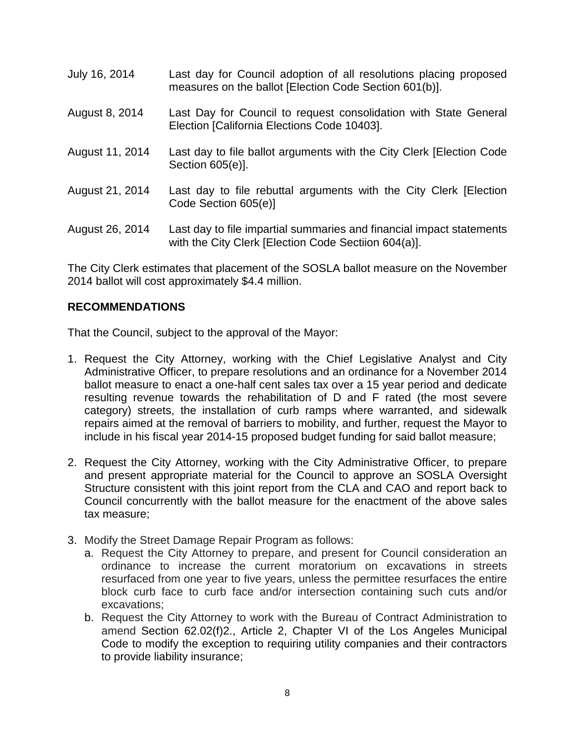- July 16, 2014 Last day for Council adoption of all resolutions placing proposed measures on the ballot [Election Code Section 601(b)].
- August 8, 2014 Last Day for Council to request consolidation with State General Election [California Elections Code 10403].
- August 11, 2014 Last day to file ballot arguments with the City Clerk [Election Code Section 605(e)].
- August 21, 2014 Last day to file rebuttal arguments with the City Clerk [Election Code Section 605(e)]
- August 26, 2014 Last day to file impartial summaries and financial impact statements with the City Clerk [Election Code Sectiion 604(a)].

The City Clerk estimates that placement of the SOSLA ballot measure on the November 2014 ballot will cost approximately \$4.4 million.

# **RECOMMENDATIONS**

That the Council, subject to the approval of the Mayor:

- 1. Request the City Attorney, working with the Chief Legislative Analyst and City Administrative Officer, to prepare resolutions and an ordinance for a November 2014 ballot measure to enact a one-half cent sales tax over a 15 year period and dedicate resulting revenue towards the rehabilitation of D and F rated (the most severe category) streets, the installation of curb ramps where warranted, and sidewalk repairs aimed at the removal of barriers to mobility, and further, request the Mayor to include in his fiscal year 2014-15 proposed budget funding for said ballot measure;
- 2. Request the City Attorney, working with the City Administrative Officer, to prepare and present appropriate material for the Council to approve an SOSLA Oversight Structure consistent with this joint report from the CLA and CAO and report back to Council concurrently with the ballot measure for the enactment of the above sales tax measure;
- 3. Modify the Street Damage Repair Program as follows:
	- a. Request the City Attorney to prepare, and present for Council consideration an ordinance to increase the current moratorium on excavations in streets resurfaced from one year to five years, unless the permittee resurfaces the entire block curb face to curb face and/or intersection containing such cuts and/or excavations;
	- b. Request the City Attorney to work with the Bureau of Contract Administration to amend Section 62.02(f)2., Article 2, Chapter VI of the Los Angeles Municipal Code to modify the exception to requiring utility companies and their contractors to provide liability insurance;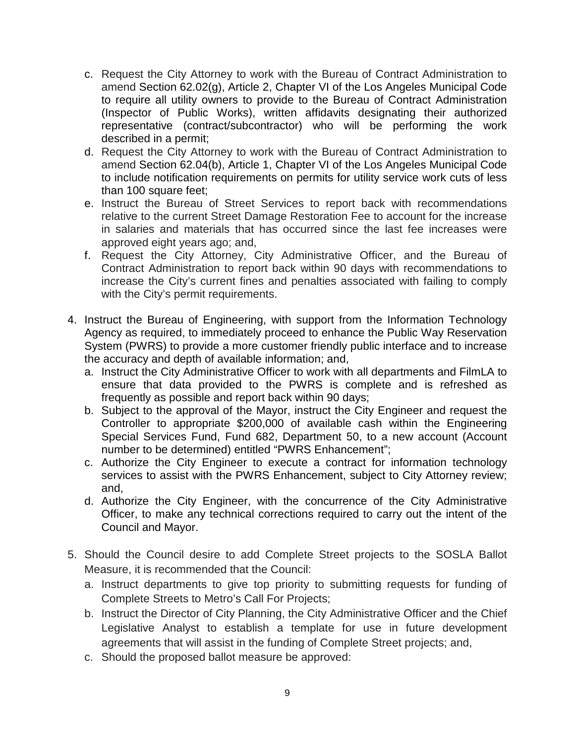- c. Request the City Attorney to work with the Bureau of Contract Administration to amend Section 62.02(g), Article 2, Chapter VI of the Los Angeles Municipal Code to require all utility owners to provide to the Bureau of Contract Administration (Inspector of Public Works), written affidavits designating their authorized representative (contract/subcontractor) who will be performing the work described in a permit;
- d. Request the City Attorney to work with the Bureau of Contract Administration to amend Section 62.04(b), Article 1, Chapter VI of the Los Angeles Municipal Code to include notification requirements on permits for utility service work cuts of less than 100 square feet;
- e. Instruct the Bureau of Street Services to report back with recommendations relative to the current Street Damage Restoration Fee to account for the increase in salaries and materials that has occurred since the last fee increases were approved eight years ago; and,
- f. Request the City Attorney, City Administrative Officer, and the Bureau of Contract Administration to report back within 90 days with recommendations to increase the City's current fines and penalties associated with failing to comply with the City's permit requirements.
- 4. Instruct the Bureau of Engineering, with support from the Information Technology Agency as required, to immediately proceed to enhance the Public Way Reservation System (PWRS) to provide a more customer friendly public interface and to increase the accuracy and depth of available information; and,
	- a. Instruct the City Administrative Officer to work with all departments and FilmLA to ensure that data provided to the PWRS is complete and is refreshed as frequently as possible and report back within 90 days;
	- b. Subject to the approval of the Mayor, instruct the City Engineer and request the Controller to appropriate \$200,000 of available cash within the Engineering Special Services Fund, Fund 682, Department 50, to a new account (Account number to be determined) entitled "PWRS Enhancement";
	- c. Authorize the City Engineer to execute a contract for information technology services to assist with the PWRS Enhancement, subject to City Attorney review; and,
	- d. Authorize the City Engineer, with the concurrence of the City Administrative Officer, to make any technical corrections required to carry out the intent of the Council and Mayor.
- 5. Should the Council desire to add Complete Street projects to the SOSLA Ballot Measure, it is recommended that the Council:
	- a. Instruct departments to give top priority to submitting requests for funding of Complete Streets to Metro's Call For Projects;
	- b. Instruct the Director of City Planning, the City Administrative Officer and the Chief Legislative Analyst to establish a template for use in future development agreements that will assist in the funding of Complete Street projects; and,
	- c. Should the proposed ballot measure be approved: